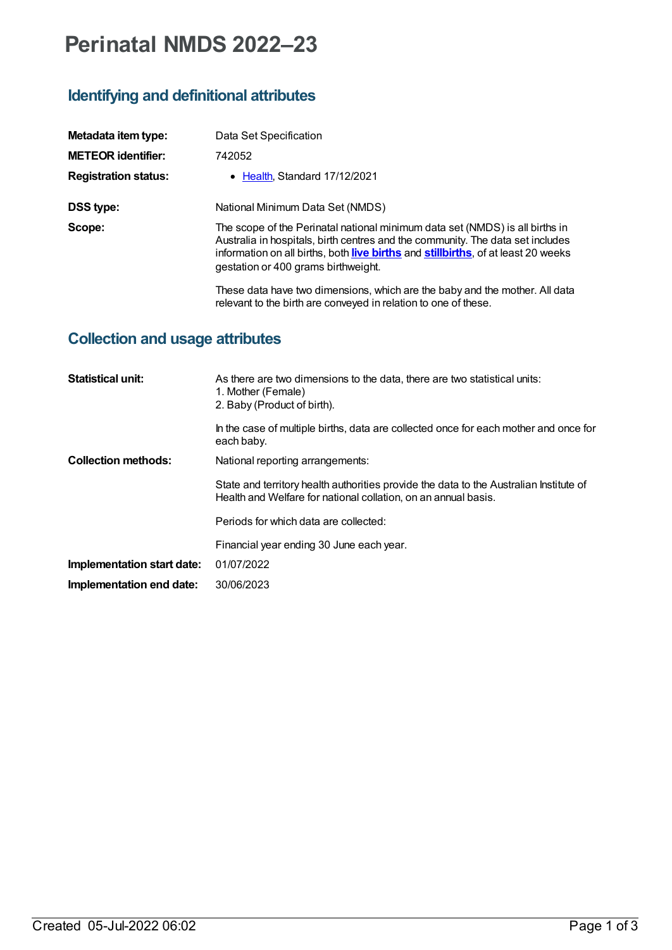## **Perinatal NMDS 2022–23**

## **Identifying and definitional attributes**

| Metadata item type:         | Data Set Specification                                                                                                                                                                                                                                                                     |
|-----------------------------|--------------------------------------------------------------------------------------------------------------------------------------------------------------------------------------------------------------------------------------------------------------------------------------------|
| <b>METEOR identifier:</b>   | 742052                                                                                                                                                                                                                                                                                     |
| <b>Registration status:</b> | • Health, Standard 17/12/2021                                                                                                                                                                                                                                                              |
| <b>DSS type:</b>            | National Minimum Data Set (NMDS)                                                                                                                                                                                                                                                           |
| Scope:                      | The scope of the Perinatal national minimum data set (NMDS) is all births in<br>Australia in hospitals, birth centres and the community. The data set includes<br>information on all births, both live births and stillbirths, of at least 20 weeks<br>gestation or 400 grams birthweight. |
|                             | These data have two dimensions, which are the baby and the mother. All data<br>relevant to the birth are conveyed in relation to one of these.                                                                                                                                             |

## **Collection and usage attributes**

| <b>Statistical unit:</b>   | As there are two dimensions to the data, there are two statistical units:<br>1. Mother (Female)<br>2. Baby (Product of birth).                           |
|----------------------------|----------------------------------------------------------------------------------------------------------------------------------------------------------|
|                            | In the case of multiple births, data are collected once for each mother and once for<br>each baby.                                                       |
| <b>Collection methods:</b> | National reporting arrangements:                                                                                                                         |
|                            | State and territory health authorities provide the data to the Australian Institute of<br>Health and Welfare for national collation, on an annual basis. |
|                            | Periods for which data are collected:                                                                                                                    |
|                            | Financial year ending 30 June each year.                                                                                                                 |
| Implementation start date: | 01/07/2022                                                                                                                                               |
| Implementation end date:   | 30/06/2023                                                                                                                                               |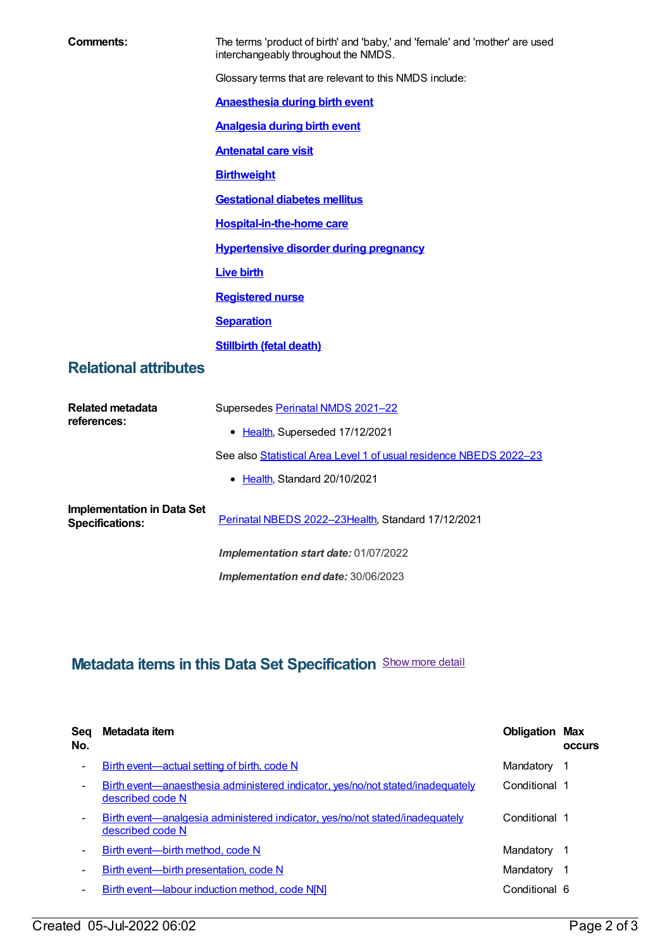| <b>Comments:</b>                        | The terms 'product of birth' and 'baby,' and 'female' and 'mother' are used<br>interchangeably throughout the NMDS. |
|-----------------------------------------|---------------------------------------------------------------------------------------------------------------------|
|                                         | Glossary terms that are relevant to this NMDS include:                                                              |
|                                         | <b>Anaesthesia during birth event</b>                                                                               |
|                                         | <b>Analgesia during birth event</b>                                                                                 |
|                                         | <b>Antenatal care visit</b>                                                                                         |
|                                         | <b>Birthweight</b>                                                                                                  |
|                                         | <b>Gestational diabetes mellitus</b>                                                                                |
|                                         | <b>Hospital-in-the-home care</b>                                                                                    |
|                                         | <b>Hypertensive disorder during pregnancy</b>                                                                       |
|                                         | <b>Live birth</b>                                                                                                   |
|                                         | <b>Registered nurse</b>                                                                                             |
|                                         | <b>Separation</b>                                                                                                   |
|                                         | <b>Stillbirth (fetal death)</b>                                                                                     |
| <b>Relational attributes</b>            |                                                                                                                     |
| <b>Related metadata</b><br>$\mathbf{r}$ | Supersedes Perinatal NMDS 2021-22                                                                                   |

| Related metadata                                            | Supersedes Perinatal NMDS 2021-22                                  |
|-------------------------------------------------------------|--------------------------------------------------------------------|
| references:                                                 | • Health, Superseded 17/12/2021                                    |
|                                                             | See also Statistical Area Level 1 of usual residence NBEDS 2022-23 |
|                                                             | • Health, Standard 20/10/2021                                      |
| <b>Implementation in Data Set</b><br><b>Specifications:</b> | Perinatal NBEDS 2022-23 Health, Standard 17/12/2021                |
|                                                             | <b>Implementation start date: 01/07/2022</b>                       |

*Implementation end date:* 30/06/2023

## **Metadata items in this Data Set Specification** Show more detail

| Seg<br>No.               | Metadata item                                                                                      | <b>Obligation Max</b> | <b>OCCUIS</b> |
|--------------------------|----------------------------------------------------------------------------------------------------|-----------------------|---------------|
| $\overline{\phantom{0}}$ | Birth event—actual setting of birth, code N                                                        | Mandatory             |               |
| -                        | Birth event—anaesthesia administered indicator, yes/no/not stated/inadequately<br>described code N | Conditional 1         |               |
| -                        | Birth event—analgesia administered indicator, yes/no/not stated/inadequately<br>described code N   | Conditional 1         |               |
| -                        | Birth event—birth method, code N                                                                   | Mandatory             |               |
| ۰                        | Birth event—birth presentation, code N                                                             | Mandatory             |               |
| ۰                        | Birth event-labour induction method, code N[N]                                                     | Conditional 6         |               |